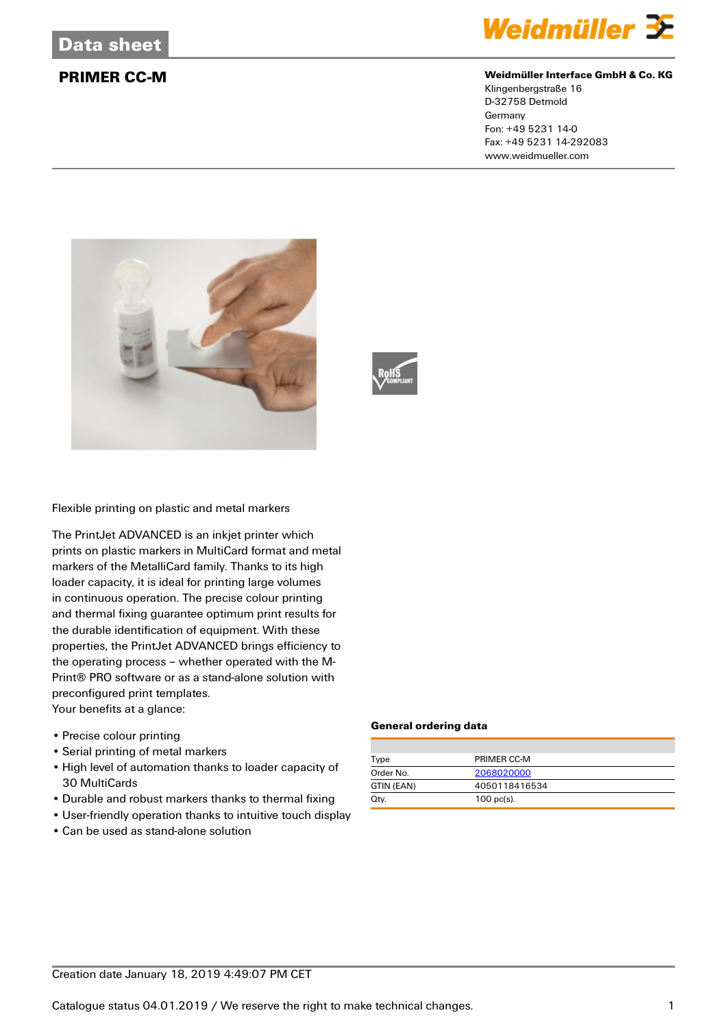

## **PRIMER CC-M Weidmüller Interface GmbH & Co. KG**

Klingenbergstraße 16 D-32758 Detmold Germany Fon: +49 5231 14-0 Fax: +49 5231 14-292083 www.weidmueller.com





Flexible printing on plastic and metal markers

The PrintJet ADVANCED is an inkjet printer which prints on plastic markers in MultiCard format and metal markers of the MetalliCard family. Thanks to its high loader capacity, it is ideal for printing large volumes in continuous operation. The precise colour printing and thermal fixing guarantee optimum print results for the durable identification of equipment. With these properties, the PrintJet ADVANCED brings efficiency to the operating process – whether operated with the M-Print® PRO software or as a stand-alone solution with preconfigured print templates. Your benefits at a glance:

- Precise colour printing
- Serial printing of metal markers
- High level of automation thanks to loader capacity of 30 MultiCards
- Durable and robust markers thanks to thermal fixing
- User-friendly operation thanks to intuitive touch display
- Can be used as stand-alone solution

### **General ordering data**

| Type       | PRIMER CC-M   |
|------------|---------------|
| Order No.  | 2068020000    |
| GTIN (EAN) | 4050118416534 |
| Qtv.       | $100$ pc(s).  |